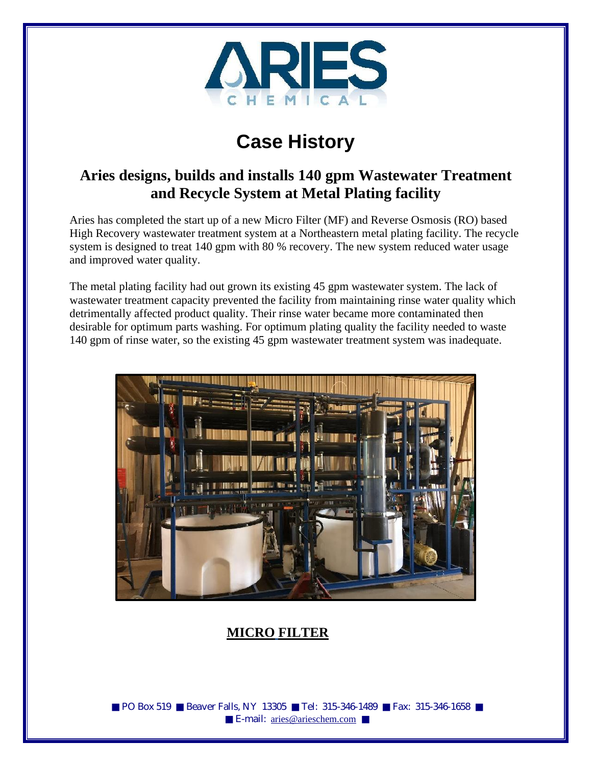

# **Case History**

## **Aries designs, builds and installs 140 gpm Wastewater Treatment and Recycle System at Metal Plating facility**

Aries has completed the start up of a new Micro Filter (MF) and Reverse Osmosis (RO) based High Recovery wastewater treatment system at a Northeastern metal plating facility. The recycle system is designed to treat 140 gpm with 80 % recovery. The new system reduced water usage and improved water quality.

The metal plating facility had out grown its existing 45 gpm wastewater system. The lack of wastewater treatment capacity prevented the facility from maintaining rinse water quality which detrimentally affected product quality. Their rinse water became more contaminated then desirable for optimum parts washing. For optimum plating quality the facility needed to waste 140 gpm of rinse water, so the existing 45 gpm wastewater treatment system was inadequate.



## **MICRO FILTER**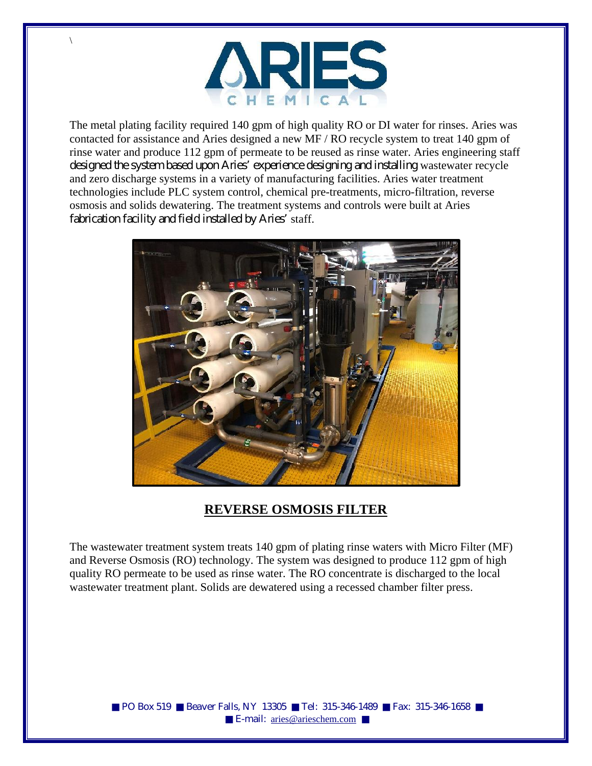

\

The metal plating facility required 140 gpm of high quality RO or DI water for rinses. Aries was contacted for assistance and Aries designed a new MF / RO recycle system to treat 140 gpm of rinse water and produce 112 gpm of permeate to be reused as rinse water. Aries engineering staff designed the system based upon Aries' experience designing and installing wastewater recycle and zero discharge systems in a variety of manufacturing facilities. Aries water treatment technologies include PLC system control, chemical pre-treatments, micro-filtration, reverse osmosis and solids dewatering. The treatment systems and controls were built at Aries fabrication facility and field installed by Aries' staff.



### **REVERSE OSMOSIS FILTER**

The wastewater treatment system treats 140 gpm of plating rinse waters with Micro Filter (MF) and Reverse Osmosis (RO) technology. The system was designed to produce 112 gpm of high quality RO permeate to be used as rinse water. The RO concentrate is discharged to the local wastewater treatment plant. Solids are dewatered using a recessed chamber filter press.